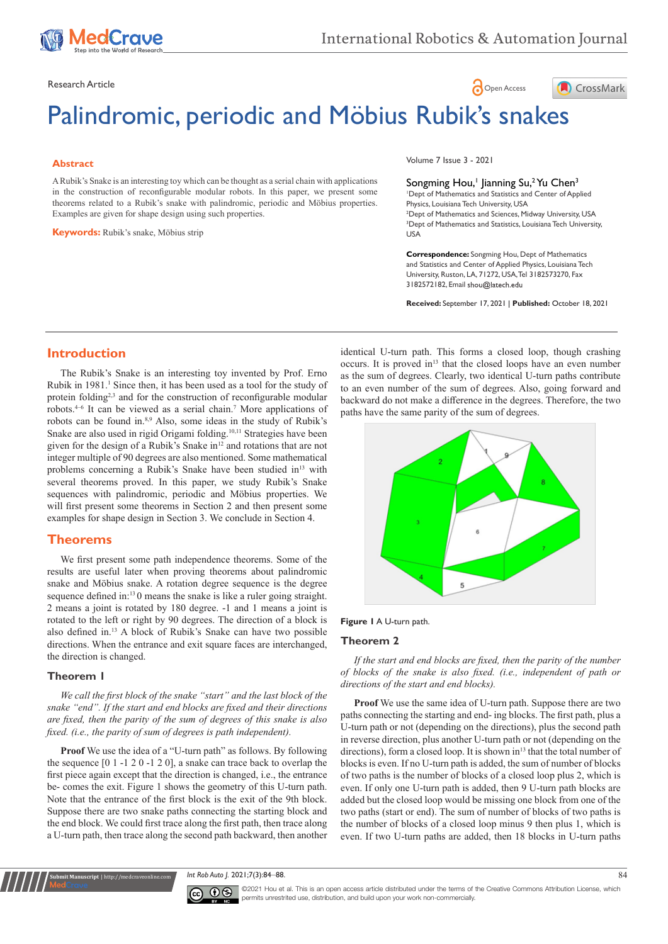

Research Article **Contract Article** of the Contract of the Contract of the Open Access **Contract of the Open Access** 

# Palindromic, periodic and Möbius Rubik's snakes

## **Abstract**

A Rubik's Snake is an interesting toy which can be thought as a serial chain with applications in the construction of reconfigurable modular robots. In this paper, we present some theorems related to a Rubik's snake with palindromic, periodic and Möbius properties. Examples are given for shape design using such properties.

**Keywords:** Rubik's snake, Möbius strip

Volume 7 Issue 3 - 2021

Songming Hou,<sup>1</sup> Jianning Su,<sup>2</sup> Yu Chen<sup>3</sup> 1 Dept of Mathematics and Statistics and Center of Applied Physics, Louisiana Tech University, USA 2 Dept of Mathematics and Sciences, Midway University, USA 3 Dept of Mathematics and Statistics, Louisiana Tech University, USA

CrossMark

**Correspondence:** Songming Hou, Dept of Mathematics and Statistics and Center of Applied Physics, Louisiana Tech University, Ruston, LA, 71272, USA, Tel 3182573270, Fax 3182572182, Email shou@latech.edu

**Received:** September 17, 2021 | **Published:** October 18, 2021

# **Introduction**

The Rubik's Snake is an interesting toy invented by Prof. Erno Rubik in 1981.<sup>1</sup> Since then, it has been used as a tool for the study of protein folding<sup>2,3</sup> and for the construction of reconfigurable modular robots.4–6 It can be viewed as a serial chain.7 More applications of robots can be found in.8,9 Also, some ideas in the study of Rubik's Snake are also used in rigid Origami folding.10,11 Strategies have been given for the design of a Rubik's Snake in<sup>12</sup> and rotations that are not integer multiple of 90 degrees are also mentioned. Some mathematical problems concerning a Rubik's Snake have been studied in<sup>13</sup> with several theorems proved. In this paper, we study Rubik's Snake sequences with palindromic, periodic and Möbius properties. We will first present some theorems in Section 2 and then present some examples for shape design in Section 3. We conclude in Section 4.

# **Theorems**

We first present some path independence theorems. Some of the results are useful later when proving theorems about palindromic snake and Möbius snake. A rotation degree sequence is the degree sequence defined in:<sup>13</sup>0 means the snake is like a ruler going straight. 2 means a joint is rotated by 180 degree. -1 and 1 means a joint is rotated to the left or right by 90 degrees. The direction of a block is also defined in.13 A block of Rubik's Snake can have two possible directions. When the entrance and exit square faces are interchanged, the direction is changed.

# **Theorem 1**

**t Manuscript** | http://medcraveonlin

*We call the first block of the snake "start" and the last block of the snake "end". If the start and end blocks are fixed and their directions are fixed, then the parity of the sum of degrees of this snake is also fixed. (i.e., the parity of sum of degrees is path independent).*

**Proof** We use the idea of a "U-turn path" as follows. By following the sequence [0 1 -1 2 0 -1 2 0], a snake can trace back to overlap the first piece again except that the direction is changed, i.e., the entrance be- comes the exit. Figure 1 shows the geometry of this U-turn path. Note that the entrance of the first block is the exit of the 9th block. Suppose there are two snake paths connecting the starting block and the end block. We could first trace along the first path, then trace along a U-turn path, then trace along the second path backward, then another identical U-turn path. This forms a closed loop, though crashing occurs. It is proved in<sup>13</sup> that the closed loops have an even number as the sum of degrees. Clearly, two identical U-turn paths contribute to an even number of the sum of degrees. Also, going forward and backward do not make a difference in the degrees. Therefore, the two paths have the same parity of the sum of degrees.



#### **Figure 1** A U-turn path.

#### **Theorem 2**

*If the start and end blocks are fixed, then the parity of the number of blocks of the snake is also fixed. (i.e., independent of path or directions of the start and end blocks).*

**Proof** We use the same idea of U-turn path. Suppose there are two paths connecting the starting and end- ing blocks. The first path, plus a U-turn path or not (depending on the directions), plus the second path in reverse direction, plus another U-turn path or not (depending on the directions), form a closed loop. It is shown in<sup>13</sup> that the total number of blocks is even. If no U-turn path is added, the sum of number of blocks of two paths is the number of blocks of a closed loop plus 2, which is even. If only one U-turn path is added, then 9 U-turn path blocks are added but the closed loop would be missing one block from one of the two paths (start or end). The sum of number of blocks of two paths is the number of blocks of a closed loop minus 9 then plus 1, which is even. If two U-turn paths are added, then 18 blocks in U-turn paths

*Int Rob Auto* J. 2021;7(3):84–88. 84



©2021 Hou et al. This is an open access article distributed under the terms of the Creative Commons Attribution License, which permits unrestrited use, distribution, and build upon your work non-commercially.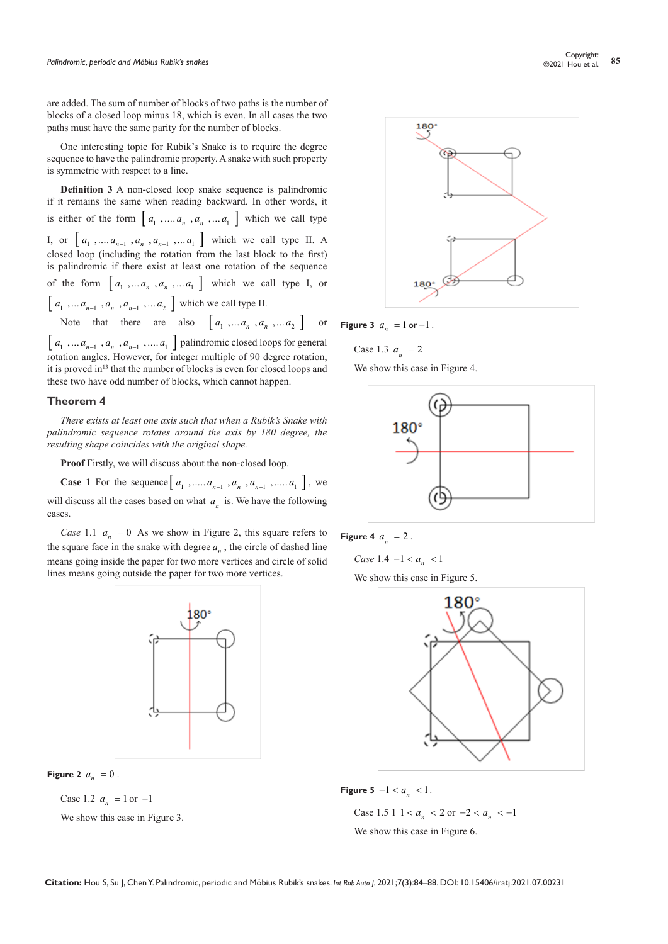are added. The sum of number of blocks of two paths is the number of blocks of a closed loop minus 18, which is even. In all cases the two paths must have the same parity for the number of blocks.

One interesting topic for Rubik's Snake is to require the degree sequence to have the palindromic property. A snake with such property is symmetric with respect to a line.

**Definition 3** A non-closed loop snake sequence is palindromic if it remains the same when reading backward. In other words, it is either of the form  $\begin{bmatrix} a_1, ..., a_n, a_n, ..., a_n \end{bmatrix}$  which we call type I, or  $\begin{bmatrix} a_1, a_2, \dots, a_{n-1}, a_n, a_{n-1}, \dots, a_1 \end{bmatrix}$  which we call type II. A closed loop (including the rotation from the last block to the first) is palindromic if there exist at least one rotation of the sequence of the form  $\begin{bmatrix} a_1, a_2, \ldots, a_n, a_n, \ldots, a_n \end{bmatrix}$  which we call type I, or  $\left[ a_1, \ldots a_{n-1}, a_n, a_{n-1}, \ldots a_2 \right]$  which we call type II. Note that there are also  $\begin{bmatrix} a_1, a_2, \ldots, a_n, a_n, a_2 \end{bmatrix}$  or

 $\left[\,a_1\,\,,\ldots a_{n-1}\,\,,a_n\,\,,a_{n-1}\,\,,\ldots a_1\,\,\right]$  palindromic closed loops for general rotation angles. However, for integer multiple of 90 degree rotation, it is proved in<sup>13</sup> that the number of blocks is even for closed loops and these two have odd number of blocks, which cannot happen.

#### **Theorem 4**

*There exists at least one axis such that when a Rubik's Snake with palindromic sequence rotates around the axis by 180 degree, the resulting shape coincides with the original shape.*

**Proof** Firstly, we will discuss about the non-closed loop.

**Case 1** For the sequence  $[a_1, \ldots, a_{n-1}, a_n, a_{n-1}, \ldots, a_1]$ , we will discuss all the cases based on what  $a_n$  is. We have the following cases.

*Case* 1.1  $a_n = 0$  As we show in Figure 2, this square refers to the square face in the snake with degree  $a_n$ , the circle of dashed line means going inside the paper for two more vertices and circle of solid lines means going outside the paper for two more vertices.



**Figure 2**  $a_n = 0$ .

Case 1.2  $a_n = 1$  or  $-1$ 

We show this case in Figure 3.



**Figure 3**  $a_n = 1$  or  $-1$ .

Case 1.3  $a_n = 2$ We show this case in Figure 4.





*Case* 1.4  $-1 < a_{n} < 1$ We show this case in Figure 5.





Case 1.5 1 1 <  $a_n$  < 2 or  $-2 < a_n$  <  $-1$ We show this case in Figure 6.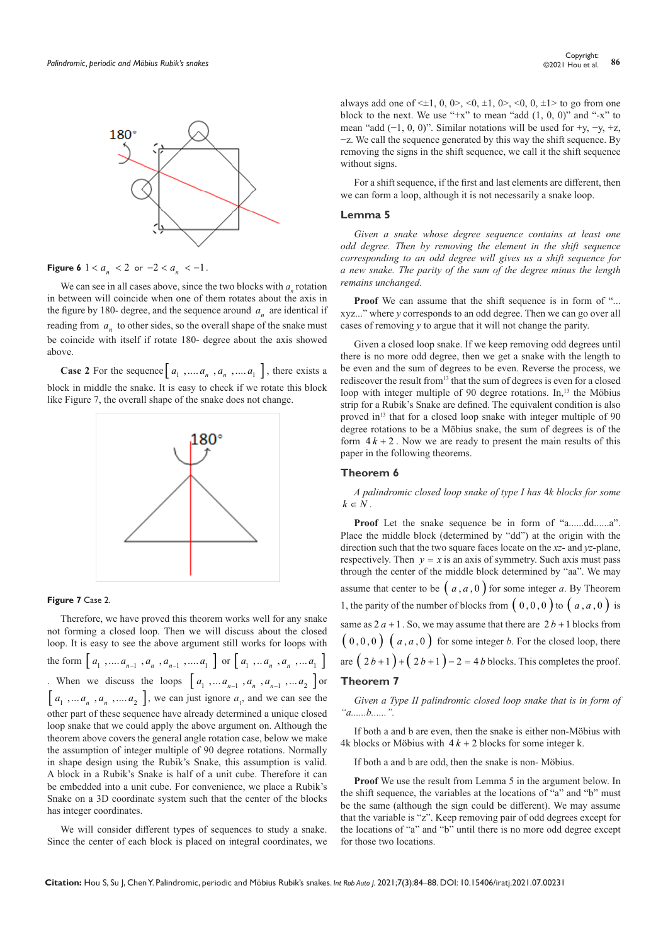

**Figure 6**  $1 < a_n < 2$  or  $-2 < a_n < -1$ .

We can see in all cases above, since the two blocks with  $a_n$  rotation in between will coincide when one of them rotates about the axis in the figure by 180- degree, and the sequence around  $a_n$  are identical if reading from  $a<sub>n</sub>$  to other sides, so the overall shape of the snake must be coincide with itself if rotate 180- degree about the axis showed above.

**Case 2** For the sequence  $\begin{bmatrix} a_1, ..., a_n, a_n, ..., a_1 \end{bmatrix}$ , there exists a block in middle the snake. It is easy to check if we rotate this block like Figure 7, the overall shape of the snake does not change.



#### **Figure 7** Case 2.

Therefore, we have proved this theorem works well for any snake not forming a closed loop. Then we will discuss about the closed loop. It is easy to see the above argument still works for loops with the form  $\left[ a_1, \ldots a_{n-1} , a_n , a_{n-1} , \ldots a_1 \right]$  or  $\left[ a_1, \ldots a_n , a_n , \ldots a_1 \right]$ . When we discuss the loops  $\begin{bmatrix} a_1, a_{n-1}, a_n, a_{n-1}, a_1, a_2 \end{bmatrix}$  or  $\left[ a_1, \ldots, a_n, a_n, \ldots, a_2 \right]$ , we can just ignore  $a_1$ , and we can see the other part of these sequence have already determined a unique closed loop snake that we could apply the above argument on. Although the theorem above covers the general angle rotation case, below we make the assumption of integer multiple of 90 degree rotations. Normally in shape design using the Rubik's Snake, this assumption is valid. A block in a Rubik's Snake is half of a unit cube. Therefore it can be embedded into a unit cube. For convenience, we place a Rubik's Snake on a 3D coordinate system such that the center of the blocks has integer coordinates.

We will consider different types of sequences to study a snake. Since the center of each block is placed on integral coordinates, we always add one of  $\leq \pm 1$ , 0, 0>,  $\leq 0$ ,  $\pm 1$ , 0>,  $\leq 0$ , 0,  $\pm 1$ > to go from one block to the next. We use "+x" to mean "add  $(1, 0, 0)$ " and "-x" to mean "add  $(-1, 0, 0)$ ". Similar notations will be used for +y, -y, +z, −z. We call the sequence generated by this way the shift sequence. By removing the signs in the shift sequence, we call it the shift sequence without signs.

For a shift sequence, if the first and last elements are different, then we can form a loop, although it is not necessarily a snake loop.

# **Lemma 5**

*Given a snake whose degree sequence contains at least one odd degree. Then by removing the element in the shift sequence corresponding to an odd degree will gives us a shift sequence for a new snake. The parity of the sum of the degree minus the length remains unchanged.*

**Proof** We can assume that the shift sequence is in form of "... xyz..." where *y* corresponds to an odd degree. Then we can go over all cases of removing *y* to argue that it will not change the parity.

Given a closed loop snake. If we keep removing odd degrees until there is no more odd degree, then we get a snake with the length to be even and the sum of degrees to be even. Reverse the process, we rediscover the result from<sup>13</sup> that the sum of degrees is even for a closed loop with integer multiple of 90 degree rotations. In,<sup>13</sup> the Möbius strip for a Rubik's Snake are defined. The equivalent condition is also proved in<sup>13</sup> that for a closed loop snake with integer multiple of 90 degree rotations to be a Möbius snake, the sum of degrees is of the form  $4k + 2$ . Now we are ready to present the main results of this paper in the following theorems.

# **Theorem 6**

## *A palindromic closed loop snake of type I has* 4*k blocks for some*  $k \in N$ .

**Proof** Let the snake sequence be in form of "a......dd......a". Place the middle block (determined by "dd") at the origin with the direction such that the two square faces locate on the *xz*- and *yz*-plane, respectively. Then  $y = x$  is an axis of symmetry. Such axis must pass through the center of the middle block determined by "aa". We may assume that center to be  $(a, a, 0)$  for some integer *a*. By Theorem 1, the parity of the number of blocks from  $(0,0,0)$  to  $(a, a, 0)$  is same as  $2a + 1$ . So, we may assume that there are  $2b + 1$  blocks from  $(0,0,0)$   $(a, a, 0)$  for some integer *b*. For the closed loop, there are  $(2b+1)+(2b+1)-2=4b$  blocks. This completes the proof. **Theorem 7** 

## *Given a Type II palindromic closed loop snake that is in form of "a......b......".*

If both a and b are even, then the snake is either non-Möbius with 4k blocks or Möbius with  $4k + 2$  blocks for some integer k.

If both a and b are odd, then the snake is non- Möbius.

**Proof** We use the result from Lemma 5 in the argument below. In the shift sequence, the variables at the locations of "a" and "b" must be the same (although the sign could be different). We may assume that the variable is "z". Keep removing pair of odd degrees except for the locations of "a" and "b" until there is no more odd degree except for those two locations.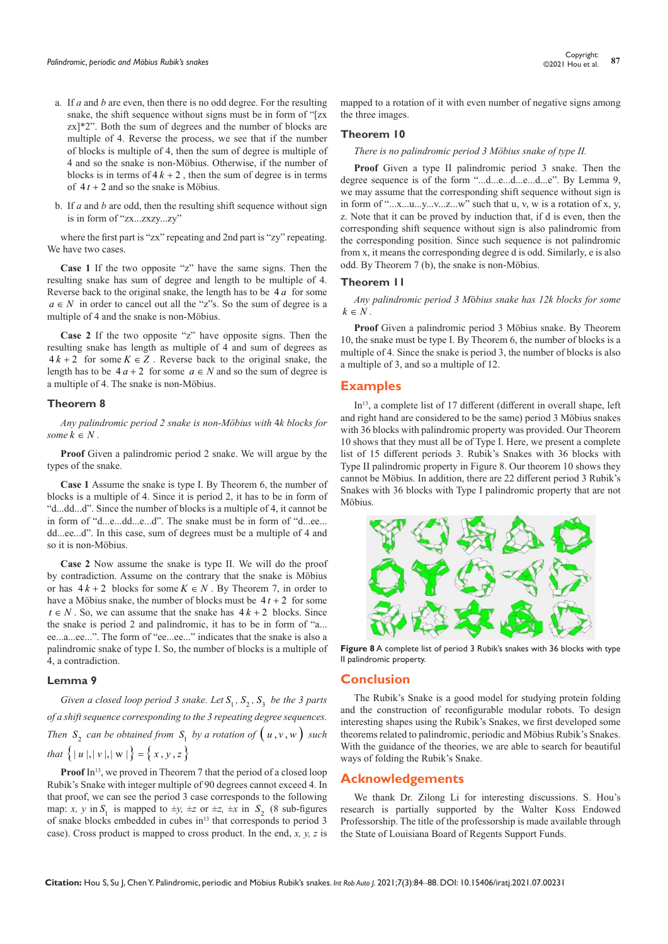- a. If *a* and *b* are even, then there is no odd degree. For the resulting snake, the shift sequence without signs must be in form of "[zx zx]\*2". Both the sum of degrees and the number of blocks are multiple of 4. Reverse the process, we see that if the number of blocks is multiple of 4, then the sum of degree is multiple of 4 and so the snake is non-Möbius. Otherwise, if the number of blocks is in terms of  $4k + 2$ , then the sum of degree is in terms of  $4t + 2$  and so the snake is Möbius.
- b. If *a* and *b* are odd, then the resulting shift sequence without sign is in form of "zx...zxzy...zy"

where the first part is "zx" repeating and 2nd part is "zy" repeating. We have two cases.

**Case 1** If the two opposite "z" have the same signs. Then the resulting snake has sum of degree and length to be multiple of 4. Reverse back to the original snake, the length has to be 4 *a* for some  $a \in N$  in order to cancel out all the "z"s. So the sum of degree is a multiple of 4 and the snake is non-Möbius.

**Case 2** If the two opposite "z" have opposite signs. Then the resulting snake has length as multiple of 4 and sum of degrees as  $4k + 2$  for some  $K \in \mathbb{Z}$ . Reverse back to the original snake, the length has to be  $4a + 2$  for some  $a \in N$  and so the sum of degree is a multiple of 4. The snake is non-Möbius.

#### **Theorem 8**

*Any palindromic period 2 snake is non-Möbius with* 4*k blocks for some*  $k \in N$ .

**Proof** Given a palindromic period 2 snake. We will argue by the types of the snake.

**Case 1** Assume the snake is type I. By Theorem 6, the number of blocks is a multiple of 4. Since it is period 2, it has to be in form of "d...dd...d". Since the number of blocks is a multiple of 4, it cannot be in form of "d...e...dd...e...d". The snake must be in form of "d...ee... dd...ee...d". In this case, sum of degrees must be a multiple of 4 and so it is non-Möbius.

**Case 2** Now assume the snake is type II. We will do the proof by contradiction. Assume on the contrary that the snake is Möbius or has  $4k + 2$  blocks for some  $K \in N$ . By Theorem 7, in order to have a Möbius snake, the number of blocks must be  $4t + 2$  for some  $t \in N$ . So, we can assume that the snake has  $4k + 2$  blocks. Since the snake is period 2 and palindromic, it has to be in form of "a... ee...a...ee...". The form of "ee...ee..." indicates that the snake is also a palindromic snake of type I. So, the number of blocks is a multiple of 4, a contradiction.

## **Lemma 9**

*Given a closed loop period 3 snake. Let*  $S_1$ ,  $S_2$ ,  $S_3$  *be the 3 parts of a shift sequence corresponding to the 3 repeating degree sequences. Then*  $S_2$  *can be obtained from*  $S_1$  *by a rotation of*  $(u, v, w)$  *such that*  $\{|u|, |v|, |w| \} = \{x, y, z\}$ 

**Proof** In<sup>13</sup>, we proved in Theorem 7 that the period of a closed loop Rubik's Snake with integer multiple of 90 degrees cannot exceed 4. In that proof, we can see the period 3 case corresponds to the following map: *x, y* in  $S_1$  is mapped to  $\pm y$ ,  $\pm z$  or  $\pm z$ ,  $\pm x$  in  $S_2$  (8 sub-figures of snake blocks embedded in cubes in<sup>13</sup> that corresponds to period 3 case). Cross product is mapped to cross product. In the end, *x, y, z* is

mapped to a rotation of it with even number of negative signs among the three images.

#### **Theorem 10**

*There is no palindromic period 3 Möbius snake of type II.*

**Proof** Given a type II palindromic period 3 snake. Then the degree sequence is of the form "...d...e...d...e...d...e". By Lemma 9, we may assume that the corresponding shift sequence without sign is in form of " $...x...u...y...y...z...w$ " such that u, v, w is a rotation of x, y, z. Note that it can be proved by induction that, if d is even, then the corresponding shift sequence without sign is also palindromic from the corresponding position. Since such sequence is not palindromic from x, it means the corresponding degree d is odd. Similarly, e is also odd. By Theorem 7 (b), the snake is non-Möbius.

#### **Theorem 11**

*Any palindromic period 3 M*ö*bius snake has 12k blocks for some*   $k \in N$ .

**Proof** Given a palindromic period 3 Möbius snake. By Theorem 10, the snake must be type I. By Theorem 6, the number of blocks is a multiple of 4. Since the snake is period 3, the number of blocks is also a multiple of 3, and so a multiple of 12.

## **Examples**

In<sup>13</sup>, a complete list of 17 different (different in overall shape, left and right hand are considered to be the same) period 3 Möbius snakes with 36 blocks with palindromic property was provided. Our Theorem 10 shows that they must all be of Type I. Here, we present a complete list of 15 different periods 3. Rubik's Snakes with 36 blocks with Type II palindromic property in Figure 8. Our theorem 10 shows they cannot be Möbius. In addition, there are 22 different period 3 Rubik's Snakes with 36 blocks with Type I palindromic property that are not Möbius.



**Figure 8** A complete list of period 3 Rubik's snakes with 36 blocks with type II palindromic property.

#### **Conclusion**

The Rubik's Snake is a good model for studying protein folding and the construction of reconfigurable modular robots. To design interesting shapes using the Rubik's Snakes, we first developed some theorems related to palindromic, periodic and Möbius Rubik's Snakes. With the guidance of the theories, we are able to search for beautiful ways of folding the Rubik's Snake.

## **Acknowledgements**

We thank Dr. Zilong Li for interesting discussions. S. Hou's research is partially supported by the Walter Koss Endowed Professorship. The title of the professorship is made available through the State of Louisiana Board of Regents Support Funds.